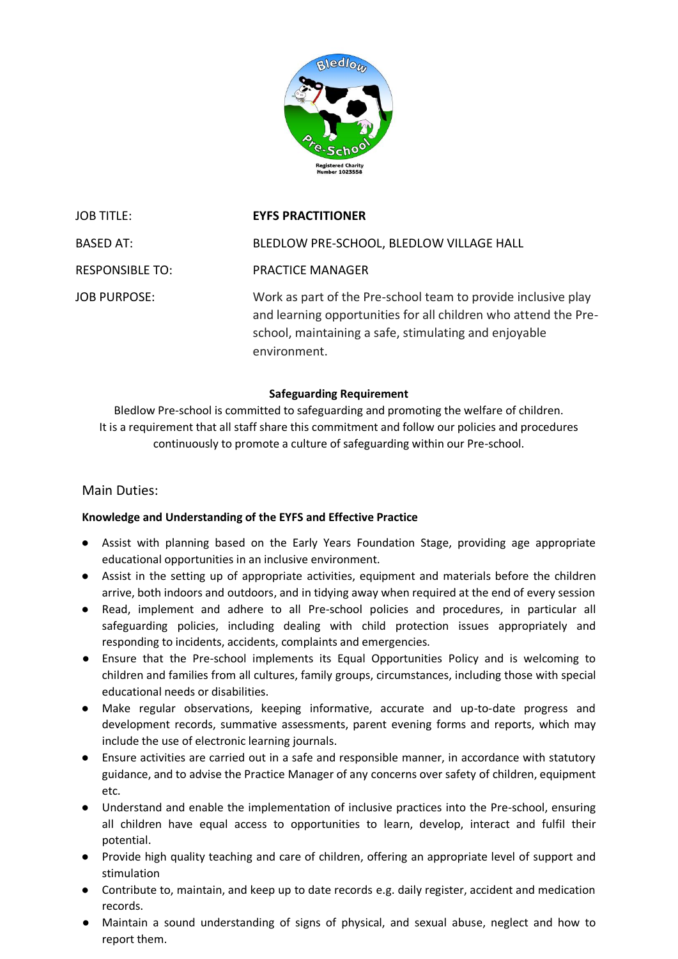

JOB TITLE: **EYFS PRACTITIONER** BASED AT: BLEDLOW PRE-SCHOOL, BLEDLOW VILLAGE HALL RESPONSIBLE TO: PRACTICE MANAGER JOB PURPOSE: Work as part of the Pre-school team to provide inclusive play and learning opportunities for all children who attend the Preschool, maintaining a safe, stimulating and enjoyable environment.

### **Safeguarding Requirement**

Bledlow Pre-school is committed to safeguarding and promoting the welfare of children. It is a requirement that all staff share this commitment and follow our policies and procedures continuously to promote a culture of safeguarding within our Pre-school.

# Main Duties:

## **Knowledge and Understanding of the EYFS and Effective Practice**

- Assist with planning based on the Early Years Foundation Stage, providing age appropriate educational opportunities in an inclusive environment.
- Assist in the setting up of appropriate activities, equipment and materials before the children arrive, both indoors and outdoors, and in tidying away when required at the end of every session
- Read, implement and adhere to all Pre-school policies and procedures, in particular all safeguarding policies, including dealing with child protection issues appropriately and responding to incidents, accidents, complaints and emergencies.
- Ensure that the Pre-school implements its Equal Opportunities Policy and is welcoming to children and families from all cultures, family groups, circumstances, including those with special educational needs or disabilities.
- Make regular observations, keeping informative, accurate and up-to-date progress and development records, summative assessments, parent evening forms and reports, which may include the use of electronic learning journals.
- Ensure activities are carried out in a safe and responsible manner, in accordance with statutory guidance, and to advise the Practice Manager of any concerns over safety of children, equipment etc.
- Understand and enable the implementation of inclusive practices into the Pre-school, ensuring all children have equal access to opportunities to learn, develop, interact and fulfil their potential.
- Provide high quality teaching and care of children, offering an appropriate level of support and stimulation
- Contribute to, maintain, and keep up to date records e.g. daily register, accident and medication records.
- Maintain a sound understanding of signs of physical, and sexual abuse, neglect and how to report them.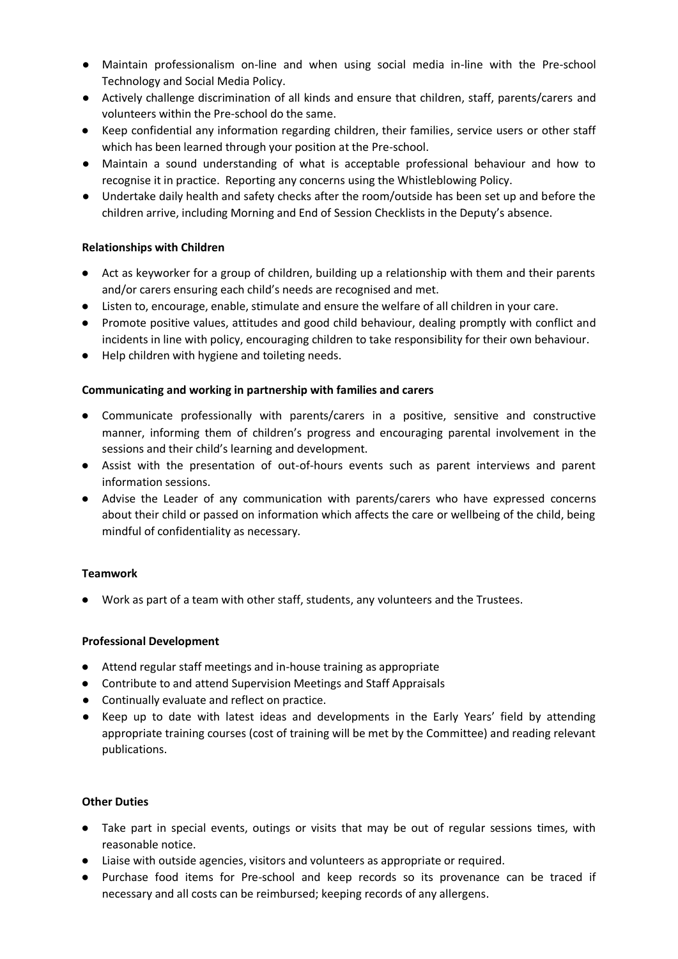- Maintain professionalism on-line and when using social media in-line with the Pre-school Technology and Social Media Policy.
- Actively challenge discrimination of all kinds and ensure that children, staff, parents/carers and volunteers within the Pre-school do the same.
- Keep confidential any information regarding children, their families, service users or other staff which has been learned through your position at the Pre-school.
- Maintain a sound understanding of what is acceptable professional behaviour and how to recognise it in practice. Reporting any concerns using the Whistleblowing Policy.
- Undertake daily health and safety checks after the room/outside has been set up and before the children arrive, including Morning and End of Session Checklists in the Deputy's absence.

## **Relationships with Children**

- Act as keyworker for a group of children, building up a relationship with them and their parents and/or carers ensuring each child's needs are recognised and met.
- Listen to, encourage, enable, stimulate and ensure the welfare of all children in your care.
- Promote positive values, attitudes and good child behaviour, dealing promptly with conflict and incidents in line with policy, encouraging children to take responsibility for their own behaviour.
- Help children with hygiene and toileting needs.

### **Communicating and working in partnership with families and carers**

- Communicate professionally with parents/carers in a positive, sensitive and constructive manner, informing them of children's progress and encouraging parental involvement in the sessions and their child's learning and development.
- Assist with the presentation of out-of-hours events such as parent interviews and parent information sessions.
- Advise the Leader of any communication with parents/carers who have expressed concerns about their child or passed on information which affects the care or wellbeing of the child, being mindful of confidentiality as necessary.

#### **Teamwork**

● Work as part of a team with other staff, students, any volunteers and the Trustees.

#### **Professional Development**

- Attend regular staff meetings and in-house training as appropriate
- Contribute to and attend Supervision Meetings and Staff Appraisals
- Continually evaluate and reflect on practice.
- Keep up to date with latest ideas and developments in the Early Years' field by attending appropriate training courses (cost of training will be met by the Committee) and reading relevant publications.

## **Other Duties**

- Take part in special events, outings or visits that may be out of regular sessions times, with reasonable notice.
- Liaise with outside agencies, visitors and volunteers as appropriate or required.
- Purchase food items for Pre-school and keep records so its provenance can be traced if necessary and all costs can be reimbursed; keeping records of any allergens.